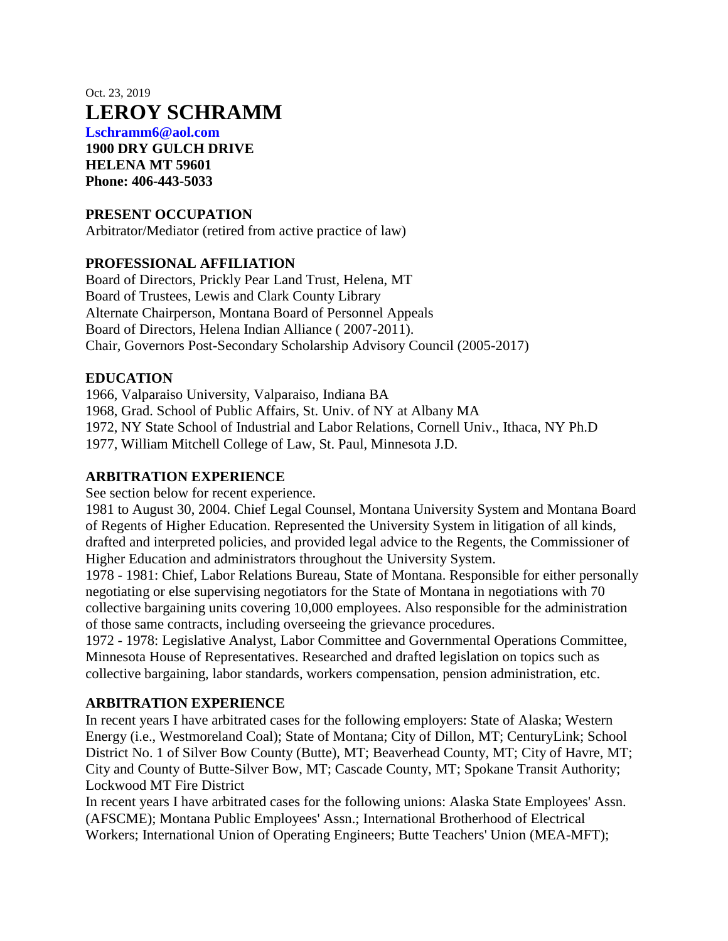# Oct. 23, 2019 **LEROY SCHRAMM**

**Lschramm6@aol.com 1900 DRY GULCH DRIVE HELENA MT 59601 Phone: 406-443-5033**

## **PRESENT OCCUPATION**

Arbitrator/Mediator (retired from active practice of law)

#### **PROFESSIONAL AFFILIATION**

Board of Directors, Prickly Pear Land Trust, Helena, MT Board of Trustees, Lewis and Clark County Library Alternate Chairperson, Montana Board of Personnel Appeals Board of Directors, Helena Indian Alliance ( 2007-2011). Chair, Governors Post-Secondary Scholarship Advisory Council (2005-2017)

### **EDUCATION**

1966, Valparaiso University, Valparaiso, Indiana BA

1968, Grad. School of Public Affairs, St. Univ. of NY at Albany MA

1972, NY State School of Industrial and Labor Relations, Cornell Univ., Ithaca, NY Ph.D

1977, William Mitchell College of Law, St. Paul, Minnesota J.D.

## **ARBITRATION EXPERIENCE**

See section below for recent experience.

1981 to August 30, 2004. Chief Legal Counsel, Montana University System and Montana Board of Regents of Higher Education. Represented the University System in litigation of all kinds, drafted and interpreted policies, and provided legal advice to the Regents, the Commissioner of Higher Education and administrators throughout the University System.

1978 - 1981: Chief, Labor Relations Bureau, State of Montana. Responsible for either personally negotiating or else supervising negotiators for the State of Montana in negotiations with 70 collective bargaining units covering 10,000 employees. Also responsible for the administration of those same contracts, including overseeing the grievance procedures.

1972 - 1978: Legislative Analyst, Labor Committee and Governmental Operations Committee, Minnesota House of Representatives. Researched and drafted legislation on topics such as collective bargaining, labor standards, workers compensation, pension administration, etc.

#### **ARBITRATION EXPERIENCE**

In recent years I have arbitrated cases for the following employers: State of Alaska; Western Energy (i.e., Westmoreland Coal); State of Montana; City of Dillon, MT; CenturyLink; School District No. 1 of Silver Bow County (Butte), MT; Beaverhead County, MT; City of Havre, MT; City and County of Butte-Silver Bow, MT; Cascade County, MT; Spokane Transit Authority; Lockwood MT Fire District

In recent years I have arbitrated cases for the following unions: Alaska State Employees' Assn. (AFSCME); Montana Public Employees' Assn.; International Brotherhood of Electrical Workers; International Union of Operating Engineers; Butte Teachers' Union (MEA-MFT);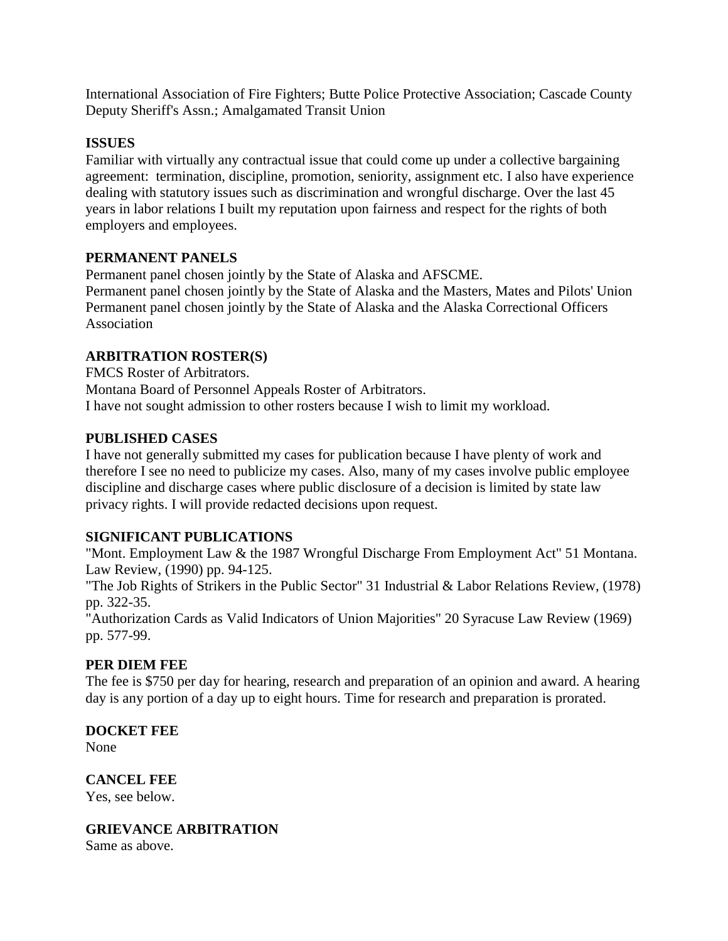International Association of Fire Fighters; Butte Police Protective Association; Cascade County Deputy Sheriff's Assn.; Amalgamated Transit Union

## **ISSUES**

Familiar with virtually any contractual issue that could come up under a collective bargaining agreement: termination, discipline, promotion, seniority, assignment etc. I also have experience dealing with statutory issues such as discrimination and wrongful discharge. Over the last 45 years in labor relations I built my reputation upon fairness and respect for the rights of both employers and employees.

### **PERMANENT PANELS**

Permanent panel chosen jointly by the State of Alaska and AFSCME. Permanent panel chosen jointly by the State of Alaska and the Masters, Mates and Pilots' Union Permanent panel chosen jointly by the State of Alaska and the Alaska Correctional Officers Association

### **ARBITRATION ROSTER(S)**

FMCS Roster of Arbitrators. Montana Board of Personnel Appeals Roster of Arbitrators. I have not sought admission to other rosters because I wish to limit my workload.

### **PUBLISHED CASES**

I have not generally submitted my cases for publication because I have plenty of work and therefore I see no need to publicize my cases. Also, many of my cases involve public employee discipline and discharge cases where public disclosure of a decision is limited by state law privacy rights. I will provide redacted decisions upon request.

#### **SIGNIFICANT PUBLICATIONS**

"Mont. Employment Law & the 1987 Wrongful Discharge From Employment Act" 51 Montana. Law Review, (1990) pp. 94-125.

"The Job Rights of Strikers in the Public Sector" 31 Industrial & Labor Relations Review, (1978) pp. 322-35.

"Authorization Cards as Valid Indicators of Union Majorities" 20 Syracuse Law Review (1969) pp. 577-99.

# **PER DIEM FEE**

The fee is \$750 per day for hearing, research and preparation of an opinion and award. A hearing day is any portion of a day up to eight hours. Time for research and preparation is prorated.

#### **DOCKET FEE**

None

**CANCEL FEE** Yes, see below.

**GRIEVANCE ARBITRATION**

Same as above.